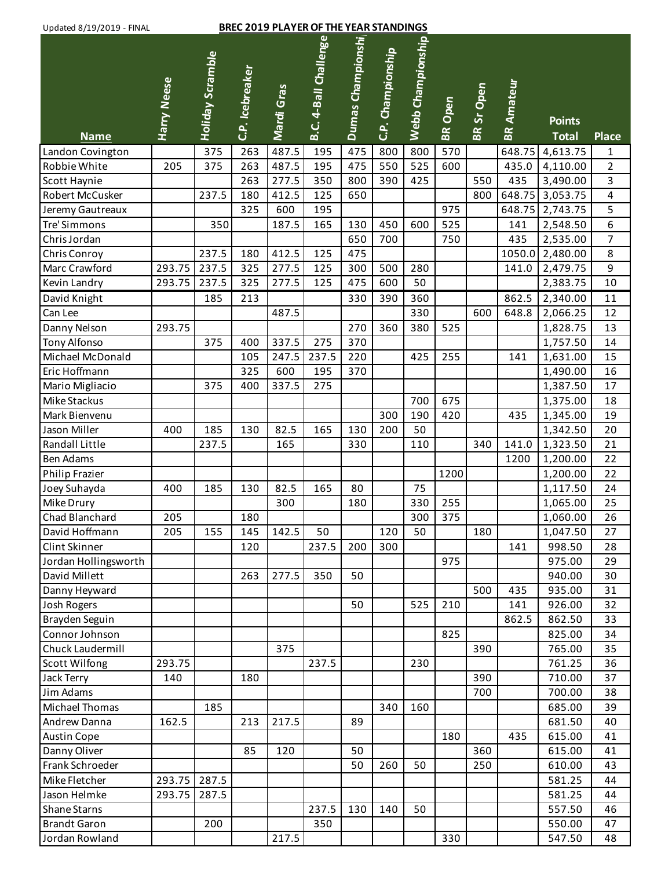## Updated 8/19/2019 - FINAL **BREC 2019 PLAYER OF THE YEAR STANDINGS**

| Upualeu 0/19/2019 - FINAL |             |                  |                 | <u>BREC 2015 FEATER OF THE TEAR STANDINGS</u> |                       |                   |                   |                          |                |            |                   |                               |                         |
|---------------------------|-------------|------------------|-----------------|-----------------------------------------------|-----------------------|-------------------|-------------------|--------------------------|----------------|------------|-------------------|-------------------------------|-------------------------|
| <b>Name</b>               | Harry Neese | Holiday Scramble | C.P. Icebreaker | Mardi Gras                                    | B.C. 4-Ball Challenge | Dumas Championshi | C.P. Championship | <b>Webb Championship</b> | <b>BR</b> Open | BR Sr Open | <b>BR Amateur</b> | <b>Points</b><br><b>Total</b> | <b>Place</b>            |
| Landon Covington          |             | 375              | 263             | 487.5                                         | 195                   | 475               | 800               | 800                      | 570            |            | 648.75            | 4,613.75                      | $\mathbf{1}$            |
| Robbie White              | 205         | 375              | 263             | 487.5                                         | 195                   | 475               | 550               | 525                      | 600            |            | 435.0             | 4,110.00                      | $\overline{2}$          |
| Scott Haynie              |             |                  | 263             | 277.5                                         | 350                   | 800               | 390               | 425                      |                | 550        | 435               | 3,490.00                      | $\overline{3}$          |
| Robert McCusker           |             | 237.5            | 180             | 412.5                                         | 125                   | 650               |                   |                          |                | 800        | 648.75            | 3,053.75                      | $\overline{\mathbf{4}}$ |
| Jeremy Gautreaux          |             |                  | 325             | 600                                           | 195                   |                   |                   |                          | 975            |            | 648.75            | 2,743.75                      | $\overline{5}$          |
| Tre' Simmons              |             | 350              |                 | 187.5                                         | 165                   | 130               | 450               | 600                      | 525            |            | 141               | 2,548.50                      | $\boldsymbol{6}$        |
| Chris Jordan              |             |                  |                 |                                               |                       | 650               | 700               |                          | 750            |            | 435               | 2,535.00                      | $\overline{7}$          |
| Chris Conroy              |             | 237.5            | 180             | 412.5                                         | 125                   | 475               |                   |                          |                |            | 1050.0            | 2,480.00                      | 8                       |
| Marc Crawford             | 293.75      | 237.5            | 325             | 277.5                                         | 125                   | 300               | 500               | 280                      |                |            | 141.0             | 2,479.75                      | 9                       |
| Kevin Landry              | 293.75      | 237.5            | 325             | 277.5                                         | 125                   | 475               | 600               | 50                       |                |            |                   | 2,383.75                      | 10                      |
| David Knight              |             | 185              | 213             |                                               |                       | 330               | 390               | 360                      |                |            | 862.5             | $\overline{2,}340.00$         | 11                      |
| Can Lee                   |             |                  |                 | 487.5                                         |                       |                   |                   | 330                      |                | 600        | 648.8             | 2,066.25                      | 12                      |
| Danny Nelson              | 293.75      |                  |                 |                                               |                       | 270               | 360               | 380                      | 525            |            |                   | 1,828.75                      | 13                      |
| Tony Alfonso              |             | 375              | 400             | 337.5                                         | 275                   | 370               |                   |                          |                |            |                   | 1,757.50                      | 14                      |
| Michael McDonald          |             |                  | 105             | 247.5                                         | 237.5                 | 220               |                   | 425                      | 255            |            | 141               | 1,631.00                      | 15                      |
| Eric Hoffmann             |             |                  | 325             | 600                                           | 195                   | 370               |                   |                          |                |            |                   | 1,490.00                      | 16                      |
| Mario Migliacio           |             | 375              | 400             | 337.5                                         | 275                   |                   |                   |                          |                |            |                   | 1,387.50                      | 17                      |
| Mike Stackus              |             |                  |                 |                                               |                       |                   |                   | 700                      | 675            |            |                   | 1,375.00                      | 18                      |
| Mark Bienvenu             |             |                  |                 |                                               |                       |                   | 300               | 190                      | 420            |            | 435               | 1,345.00                      | 19                      |
| Jason Miller              | 400         | 185              | 130             | 82.5                                          | 165                   | 130               | 200               | 50                       |                |            |                   | 1,342.50                      | 20                      |
| Randall Little            |             | 237.5            |                 | 165                                           |                       | 330               |                   | 110                      |                | 340        | 141.0             | 1,323.50                      | 21                      |
| <b>Ben Adams</b>          |             |                  |                 |                                               |                       |                   |                   |                          |                |            | 1200              | 1,200.00                      | 22                      |
| Philip Frazier            |             |                  |                 |                                               |                       |                   |                   |                          | 1200           |            |                   | 1,200.00                      | 22                      |
| Joey Suhayda              | 400         | 185              | 130             | 82.5                                          | 165                   | 80                |                   | 75                       |                |            |                   | 1,117.50                      | 24                      |
| Mike Drury                |             |                  |                 | 300                                           |                       | 180               |                   | 330                      | 255            |            |                   | 1,065.00                      | 25                      |
| Chad Blanchard            | 205         |                  | 180             |                                               |                       |                   |                   | 300                      | 375            |            |                   | 1,060.00                      | 26                      |
| David Hoffmann            | 205         | 155              | 145             | 142.5                                         | 50                    |                   | 120               | 50                       |                | 180        |                   | 1,047.50                      | 27                      |
| Clint Skinner             |             |                  | 120             |                                               | 237.5                 | 200               | 300               |                          |                |            | 141               | 998.50                        | 28                      |
| Jordan Hollingsworth      |             |                  |                 |                                               |                       |                   |                   |                          | 975            |            |                   | 975.00                        | 29                      |
| David Millett             |             |                  | 263             | 277.5                                         | 350                   | 50                |                   |                          |                |            |                   | 940.00                        | 30                      |
| Danny Heyward             |             |                  |                 |                                               |                       |                   |                   |                          |                | 500        | 435               | 935.00                        | 31                      |
| <b>Josh Rogers</b>        |             |                  |                 |                                               |                       | 50                |                   | 525                      | 210            |            | 141               | 926.00                        | 32                      |
| Brayden Seguin            |             |                  |                 |                                               |                       |                   |                   |                          |                |            | 862.5             | 862.50                        | 33                      |
| Connor Johnson            |             |                  |                 |                                               |                       |                   |                   |                          | 825            |            |                   | 825.00                        | 34                      |
| Chuck Laudermill          |             |                  |                 | 375                                           |                       |                   |                   |                          |                | 390        |                   | 765.00                        | 35                      |
| <b>Scott Wilfong</b>      | 293.75      |                  |                 |                                               | 237.5                 |                   |                   | 230                      |                |            |                   | 761.25                        | 36                      |
| Jack Terry                | 140         |                  | 180             |                                               |                       |                   |                   |                          |                | 390        |                   | 710.00                        | 37                      |
| Jim Adams                 |             |                  |                 |                                               |                       |                   |                   |                          |                | 700        |                   | 700.00                        | 38                      |
| Michael Thomas            |             | 185              |                 |                                               |                       |                   | 340               | 160                      |                |            |                   | 685.00                        | 39                      |
| Andrew Danna              | 162.5       |                  | 213             | 217.5                                         |                       | 89                |                   |                          |                |            |                   | 681.50                        | 40                      |
| <b>Austin Cope</b>        |             |                  |                 |                                               |                       |                   |                   |                          | 180            |            | 435               | 615.00                        | 41                      |
| Danny Oliver              |             |                  | 85              | 120                                           |                       | 50                |                   |                          |                | 360        |                   | 615.00                        | 41                      |
| Frank Schroeder           |             |                  |                 |                                               |                       | 50                | 260               | 50                       |                | 250        |                   | 610.00                        | 43                      |
| Mike Fletcher             | 293.75      | 287.5            |                 |                                               |                       |                   |                   |                          |                |            |                   | 581.25                        | 44                      |
| Jason Helmke              | 293.75      | 287.5            |                 |                                               |                       |                   |                   |                          |                |            |                   | 581.25                        | 44                      |
| Shane Starns              |             |                  |                 |                                               | 237.5                 | 130               | 140               | 50                       |                |            |                   | 557.50                        | 46                      |
| <b>Brandt Garon</b>       |             | 200              |                 |                                               | 350                   |                   |                   |                          |                |            |                   | 550.00                        | 47                      |
| Jordan Rowland            |             |                  |                 | 217.5                                         |                       |                   |                   |                          | 330            |            |                   | 547.50                        | 48                      |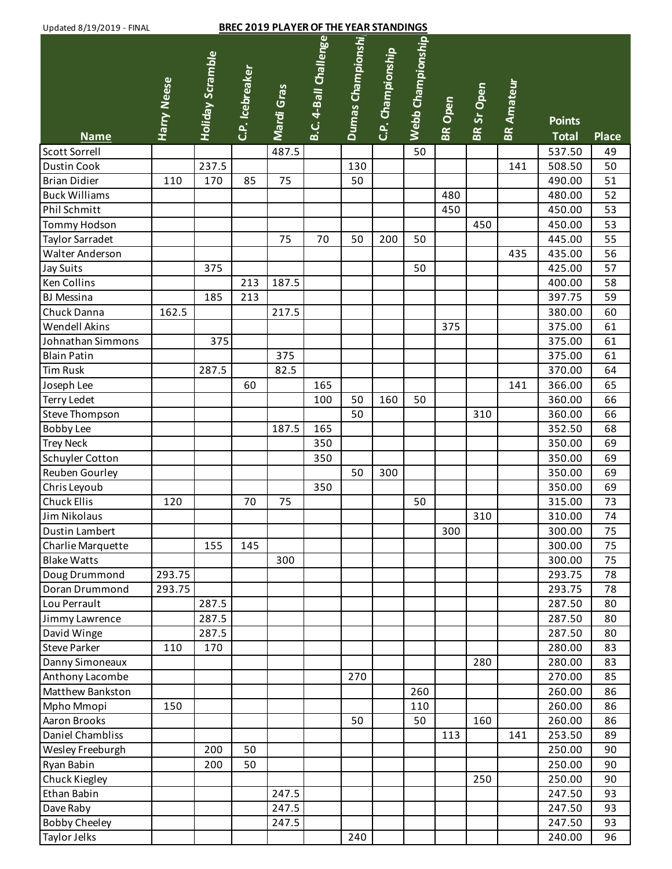| Updated 8/19/2019 - FINAL | <b>BREC 2019 PLAYER OF THE YEAR STANDINGS</b> |                  |                 |            |                       |                   |                   |                   |                |            |                   |                               |              |
|---------------------------|-----------------------------------------------|------------------|-----------------|------------|-----------------------|-------------------|-------------------|-------------------|----------------|------------|-------------------|-------------------------------|--------------|
| <b>Name</b>               | Harry Neese                                   | Holiday Scramble | C.P. Icebreaker | Mardi Gras | B.C. 4-Ball Challenge | Dumas Championshi | C.P. Championship | Webb Championship | <b>BR</b> Open | BR Sr Open | <b>BR Amateur</b> | <b>Points</b><br><b>Total</b> | <b>Place</b> |
| <b>Scott Sorrell</b>      |                                               |                  |                 | 487.5      |                       |                   |                   | 50                |                |            |                   | 537.50                        | 49           |
| <b>Dustin Cook</b>        |                                               | 237.5            |                 |            |                       | 130               |                   |                   |                |            | 141               | 508.50                        | 50           |
| <b>Brian Didier</b>       | 110                                           | 170              | 85              | 75         |                       | 50                |                   |                   |                |            |                   | 490.00                        | 51           |
| <b>Buck Williams</b>      |                                               |                  |                 |            |                       |                   |                   |                   | 480            |            |                   | 480.00                        | 52           |
| <b>Phil Schmitt</b>       |                                               |                  |                 |            |                       |                   |                   |                   | 450            |            |                   | 450.00                        | 53           |
| Tommy Hodson              |                                               |                  |                 |            |                       |                   |                   |                   |                | 450        |                   | 450.00                        | 53           |
| Taylor Sarradet           |                                               |                  |                 | 75         | 70                    | 50                | 200               | 50                |                |            |                   | 445.00                        | 55           |
| Walter Anderson           |                                               |                  |                 |            |                       |                   |                   |                   |                |            | 435               | 435.00                        | 56           |
| Jay Suits                 |                                               | 375              |                 |            |                       |                   |                   | 50                |                |            |                   | 425.00                        | 57           |
| Ken Collins               |                                               |                  | 213             | 187.5      |                       |                   |                   |                   |                |            |                   | 400.00                        | 58           |
| <b>BJ</b> Messina         |                                               | 185              | 213             |            |                       |                   |                   |                   |                |            |                   | 397.75                        | 59           |
| Chuck Danna               | 162.5                                         |                  |                 | 217.5      |                       |                   |                   |                   |                |            |                   | 380.00                        | 60           |
| Wendell Akins             |                                               |                  |                 |            |                       |                   |                   |                   | 375            |            |                   | 375.00                        | 61           |
| Johnathan Simmons         |                                               | 375              |                 |            |                       |                   |                   |                   |                |            |                   | 375.00                        | 61           |
| <b>Blain Patin</b>        |                                               |                  |                 | 375        |                       |                   |                   |                   |                |            |                   | 375.00                        | 61           |
| <b>Tim Rusk</b>           |                                               | 287.5            |                 | 82.5       |                       |                   |                   |                   |                |            |                   | 370.00                        | 64           |
| Joseph Lee                |                                               |                  | 60              |            | 165                   |                   |                   |                   |                |            | 141               | 366.00                        | 65           |
| <b>Terry Ledet</b>        |                                               |                  |                 |            | 100                   | 50                | 160               | 50                |                |            |                   | 360.00                        | 66           |
| Steve Thompson            |                                               |                  |                 |            |                       | 50                |                   |                   |                | 310        |                   | 360.00                        | 66           |
| <b>Bobby Lee</b>          |                                               |                  |                 | 187.5      | 165                   |                   |                   |                   |                |            |                   | 352.50                        | 68           |
| <b>Trey Neck</b>          |                                               |                  |                 |            | 350                   |                   |                   |                   |                |            |                   | 350.00                        | 69           |
| Schuyler Cotton           |                                               |                  |                 |            | 350                   |                   |                   |                   |                |            |                   | 350.00                        | 69           |
| Reuben Gourley            |                                               |                  |                 |            |                       | 50                | 300               |                   |                |            |                   | 350.00                        | 69           |
| Chris Leyoub              |                                               |                  |                 |            | 350                   |                   |                   |                   |                |            |                   | 350.00                        | 69           |
| <b>Chuck Ellis</b>        | 120                                           |                  | 70              | 75         |                       |                   |                   | 50                |                |            |                   | 315.00                        | 73           |
| Jim Nikolaus              |                                               |                  |                 |            |                       |                   |                   |                   |                | 310        |                   | 310.00                        | 74           |
| <b>Dustin Lambert</b>     |                                               |                  |                 |            |                       |                   |                   |                   | 300            |            |                   | 300.00                        | 75           |
| Charlie Marquette         |                                               | 155              | 145             |            |                       |                   |                   |                   |                |            |                   | 300.00                        | 75           |
| <b>Blake Watts</b>        |                                               |                  |                 | 300        |                       |                   |                   |                   |                |            |                   | 300.00                        | 75           |
| Doug Drummond             | 293.75                                        |                  |                 |            |                       |                   |                   |                   |                |            |                   | 293.75                        | 78           |
| Doran Drummond            | 293.75                                        |                  |                 |            |                       |                   |                   |                   |                |            |                   | 293.75                        | 78           |
| Lou Perrault              |                                               | 287.5            |                 |            |                       |                   |                   |                   |                |            |                   | 287.50                        | 80           |
| Jimmy Lawrence            |                                               | 287.5            |                 |            |                       |                   |                   |                   |                |            |                   | 287.50                        | 80           |
| David Winge               |                                               | 287.5            |                 |            |                       |                   |                   |                   |                |            |                   | 287.50                        | 80           |
| <b>Steve Parker</b>       | 110                                           | 170              |                 |            |                       |                   |                   |                   |                |            |                   | 280.00                        | 83           |
| Danny Simoneaux           |                                               |                  |                 |            |                       |                   |                   |                   |                | 280        |                   | 280.00                        | 83           |
| Anthony Lacombe           |                                               |                  |                 |            |                       | 270               |                   |                   |                |            |                   | 270.00                        | 85           |
| Matthew Bankston          |                                               |                  |                 |            |                       |                   |                   | 260               |                |            |                   | 260.00                        | 86           |
| Mpho Mmopi                | 150                                           |                  |                 |            |                       |                   |                   | 110               |                |            |                   | 260.00                        | 86           |
| Aaron Brooks              |                                               |                  |                 |            |                       | 50                |                   | 50                |                | 160        |                   | 260.00                        | 86           |
| Daniel Chambliss          |                                               |                  |                 |            |                       |                   |                   |                   | 113            |            | 141               | 253.50                        | 89           |
| Wesley Freeburgh          |                                               | 200              | 50              |            |                       |                   |                   |                   |                |            |                   | 250.00                        | 90           |
| Ryan Babin                |                                               | 200              | 50              |            |                       |                   |                   |                   |                |            |                   | 250.00                        | 90           |
| Chuck Kiegley             |                                               |                  |                 |            |                       |                   |                   |                   |                | 250        |                   | 250.00                        | 90           |
| Ethan Babin               |                                               |                  |                 | 247.5      |                       |                   |                   |                   |                |            |                   | 247.50                        | 93           |
| Dave Raby                 |                                               |                  |                 | 247.5      |                       |                   |                   |                   |                |            |                   | 247.50                        | 93           |
| <b>Bobby Cheeley</b>      |                                               |                  |                 | 247.5      |                       |                   |                   |                   |                |            |                   | 247.50                        | 93           |
| Taylor Jelks              |                                               |                  |                 |            |                       | 240               |                   |                   |                |            |                   | 240.00                        | 96           |
|                           |                                               |                  |                 |            |                       |                   |                   |                   |                |            |                   |                               |              |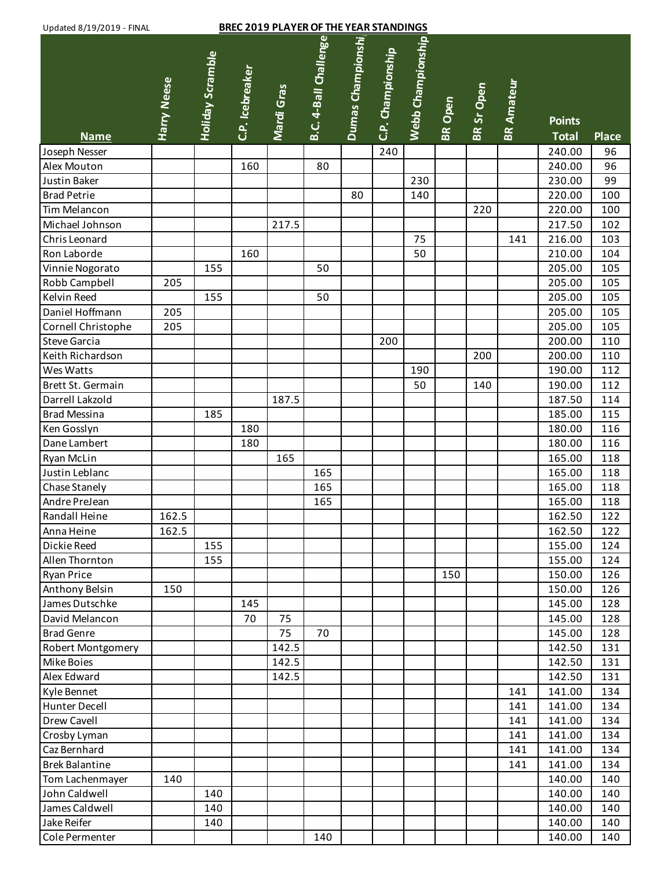| Updated 8/19/2019 - FINAL |                    |                         |                 | <b>BREC 2019 PLAYER OF THE YEAR STANDINGS</b> |                       |                   |                   |                   |                |            |                   |                               |              |
|---------------------------|--------------------|-------------------------|-----------------|-----------------------------------------------|-----------------------|-------------------|-------------------|-------------------|----------------|------------|-------------------|-------------------------------|--------------|
| <b>Name</b>               | <b>Harry Neese</b> | <b>Holiday Scramble</b> | C.P. Icebreaker | Mardi Gras                                    | B.C. 4-Ball Challenge | Dumas Championshi | C.P. Championship | Webb Championship | <b>BR</b> Open | BR Sr Open | <b>BR Amateur</b> | <b>Points</b><br><b>Total</b> | <b>Place</b> |
| Joseph Nesser             |                    |                         |                 |                                               |                       |                   | 240               |                   |                |            |                   | 240.00                        | 96           |
| Alex Mouton               |                    |                         | 160             |                                               | 80                    |                   |                   |                   |                |            |                   | 240.00                        | 96           |
| Justin Baker              |                    |                         |                 |                                               |                       |                   |                   | 230               |                |            |                   | 230.00                        | 99           |
| <b>Brad Petrie</b>        |                    |                         |                 |                                               |                       | 80                |                   | 140               |                |            |                   | 220.00                        | 100          |
| Tim Melancon              |                    |                         |                 |                                               |                       |                   |                   |                   |                | 220        |                   | 220.00                        | 100          |
| Michael Johnson           |                    |                         |                 | 217.5                                         |                       |                   |                   |                   |                |            |                   | 217.50                        | 102          |
| Chris Leonard             |                    |                         |                 |                                               |                       |                   |                   | 75                |                |            | 141               | 216.00                        | 103          |
| Ron Laborde               |                    |                         | 160             |                                               |                       |                   |                   | 50                |                |            |                   | 210.00                        | 104          |
| Vinnie Nogorato           |                    | 155                     |                 |                                               | 50                    |                   |                   |                   |                |            |                   | 205.00                        | 105          |
| Robb Campbell             | 205                |                         |                 |                                               |                       |                   |                   |                   |                |            |                   | 205.00                        | 105          |
| Kelvin Reed               |                    | 155                     |                 |                                               | 50                    |                   |                   |                   |                |            |                   | 205.00                        | 105          |
| Daniel Hoffmann           | 205                |                         |                 |                                               |                       |                   |                   |                   |                |            |                   | 205.00                        | 105          |
| Cornell Christophe        | 205                |                         |                 |                                               |                       |                   |                   |                   |                |            |                   | 205.00                        | 105          |
| Steve Garcia              |                    |                         |                 |                                               |                       |                   | 200               |                   |                |            |                   | 200.00                        | 110          |
| Keith Richardson          |                    |                         |                 |                                               |                       |                   |                   |                   |                | 200        |                   | 200.00                        | 110          |
| Wes Watts                 |                    |                         |                 |                                               |                       |                   |                   | 190               |                |            |                   | 190.00                        | 112          |
| Brett St. Germain         |                    |                         |                 |                                               |                       |                   |                   | 50                |                | 140        |                   | 190.00                        | 112          |
| Darrell Lakzold           |                    |                         |                 | 187.5                                         |                       |                   |                   |                   |                |            |                   | 187.50                        | 114          |
| <b>Brad Messina</b>       |                    | 185                     |                 |                                               |                       |                   |                   |                   |                |            |                   | 185.00                        | 115          |
| Ken Gosslyn               |                    |                         | 180             |                                               |                       |                   |                   |                   |                |            |                   | 180.00                        | 116          |
| Dane Lambert              |                    |                         | 180             |                                               |                       |                   |                   |                   |                |            |                   | 180.00                        | 116          |
| Ryan McLin                |                    |                         |                 | 165                                           |                       |                   |                   |                   |                |            |                   | 165.00                        | 118          |
| Justin Leblanc            |                    |                         |                 |                                               | 165                   |                   |                   |                   |                |            |                   | 165.00                        | 118          |
| Chase Stanely             |                    |                         |                 |                                               | 165                   |                   |                   |                   |                |            |                   | 165.00                        | 118          |
| Andre PreJean             |                    |                         |                 |                                               | 165                   |                   |                   |                   |                |            |                   | 165.00                        | 118          |
| Randall Heine             | 162.5              |                         |                 |                                               |                       |                   |                   |                   |                |            |                   | 162.50                        | 122          |
| Anna Heine                | 162.5              |                         |                 |                                               |                       |                   |                   |                   |                |            |                   | 162.50                        | 122          |
| Dickie Reed               |                    | 155                     |                 |                                               |                       |                   |                   |                   |                |            |                   | 155.00                        | 124          |
| Allen Thornton            |                    | 155                     |                 |                                               |                       |                   |                   |                   |                |            |                   | 155.00                        | 124          |
| <b>Ryan Price</b>         |                    |                         |                 |                                               |                       |                   |                   |                   | 150            |            |                   | 150.00                        | 126          |
| Anthony Belsin            | 150                |                         |                 |                                               |                       |                   |                   |                   |                |            |                   | 150.00                        | 126          |
| James Dutschke            |                    |                         | 145             |                                               |                       |                   |                   |                   |                |            |                   | 145.00                        | 128          |
| David Melancon            |                    |                         | 70              | 75                                            |                       |                   |                   |                   |                |            |                   | 145.00                        | 128          |
| <b>Brad Genre</b>         |                    |                         |                 | 75                                            | 70                    |                   |                   |                   |                |            |                   | 145.00                        | 128          |
| Robert Montgomery         |                    |                         |                 | 142.5                                         |                       |                   |                   |                   |                |            |                   | 142.50                        | 131          |
| Mike Boies                |                    |                         |                 | 142.5                                         |                       |                   |                   |                   |                |            |                   | 142.50                        | 131          |
| Alex Edward               |                    |                         |                 | 142.5                                         |                       |                   |                   |                   |                |            |                   | 142.50                        | 131          |
| Kyle Bennet               |                    |                         |                 |                                               |                       |                   |                   |                   |                |            | 141               | 141.00                        | 134          |
| Hunter Decell             |                    |                         |                 |                                               |                       |                   |                   |                   |                |            | 141               | 141.00                        | 134          |
| Drew Cavell               |                    |                         |                 |                                               |                       |                   |                   |                   |                |            | 141               | 141.00                        | 134          |
| Crosby Lyman              |                    |                         |                 |                                               |                       |                   |                   |                   |                |            | 141               | 141.00                        | 134          |
| Caz Bernhard              |                    |                         |                 |                                               |                       |                   |                   |                   |                |            | 141               | 141.00                        | 134          |
| <b>Brek Balantine</b>     |                    |                         |                 |                                               |                       |                   |                   |                   |                |            | 141               | 141.00                        | 134          |
| Tom Lachenmayer           | 140                |                         |                 |                                               |                       |                   |                   |                   |                |            |                   | 140.00                        | 140          |
| John Caldwell             |                    | 140                     |                 |                                               |                       |                   |                   |                   |                |            |                   | 140.00                        | 140          |
| James Caldwell            |                    | 140                     |                 |                                               |                       |                   |                   |                   |                |            |                   | 140.00                        | 140          |
| Jake Reifer               |                    | 140                     |                 |                                               |                       |                   |                   |                   |                |            |                   | 140.00                        | 140          |
| Cole Permenter            |                    |                         |                 |                                               | 140                   |                   |                   |                   |                |            |                   | 140.00                        | 140          |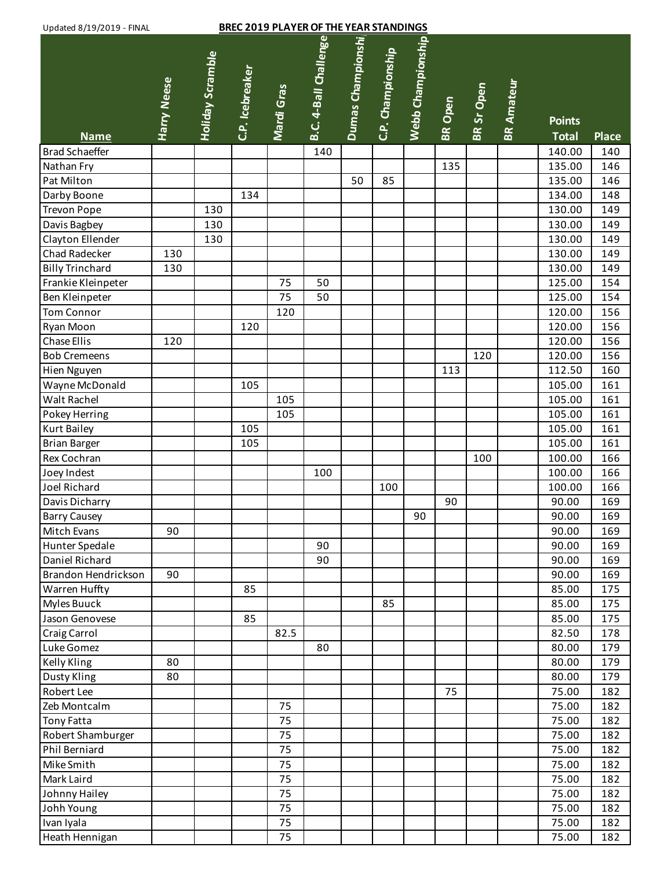| Updated 8/19/2019 - FINAL |                    |                         |                 |            | <b>BREC 2019 PLAYER OF THE YEAR STANDINGS</b> |                                |                   |                   |                |            |                   |                               |              |
|---------------------------|--------------------|-------------------------|-----------------|------------|-----------------------------------------------|--------------------------------|-------------------|-------------------|----------------|------------|-------------------|-------------------------------|--------------|
| <b>Name</b>               | <b>Harry Neese</b> | <b>Holiday Scramble</b> | C.P. Icebreaker | Mardi Gras | B.C. 4-Ball Challenge                         | Dumas Championshi <sub>l</sub> | C.P. Championship | Webb Championship | <b>BR</b> Open | BR Sr Open | <b>BR Amateur</b> | <b>Points</b><br><b>Total</b> | <b>Place</b> |
| <b>Brad Schaeffer</b>     |                    |                         |                 |            | 140                                           |                                |                   |                   |                |            |                   | 140.00                        | 140          |
| Nathan Fry                |                    |                         |                 |            |                                               |                                |                   |                   | 135            |            |                   | 135.00                        | 146          |
| Pat Milton                |                    |                         |                 |            |                                               | 50                             | 85                |                   |                |            |                   | 135.00                        | 146          |
| Darby Boone               |                    |                         | 134             |            |                                               |                                |                   |                   |                |            |                   | 134.00                        | 148          |
| <b>Trevon Pope</b>        |                    | 130                     |                 |            |                                               |                                |                   |                   |                |            |                   | 130.00                        | 149          |
| Davis Bagbey              |                    | 130                     |                 |            |                                               |                                |                   |                   |                |            |                   | 130.00                        | 149          |
| Clayton Ellender          |                    | 130                     |                 |            |                                               |                                |                   |                   |                |            |                   | 130.00                        | 149          |
| <b>Chad Radecker</b>      | 130                |                         |                 |            |                                               |                                |                   |                   |                |            |                   | 130.00                        | 149          |
| <b>Billy Trinchard</b>    | 130                |                         |                 |            |                                               |                                |                   |                   |                |            |                   | 130.00                        | 149          |
| Frankie Kleinpeter        |                    |                         |                 | 75         | 50                                            |                                |                   |                   |                |            |                   | 125.00                        | 154          |
| Ben Kleinpeter            |                    |                         |                 | 75         | 50                                            |                                |                   |                   |                |            |                   | 125.00                        | 154          |
| <b>Tom Connor</b>         |                    |                         |                 | 120        |                                               |                                |                   |                   |                |            |                   | 120.00                        | 156          |
| Ryan Moon                 |                    |                         | 120             |            |                                               |                                |                   |                   |                |            |                   | 120.00                        | 156          |
| Chase Ellis               | 120                |                         |                 |            |                                               |                                |                   |                   |                |            |                   | 120.00                        | 156          |
| <b>Bob Cremeens</b>       |                    |                         |                 |            |                                               |                                |                   |                   |                | 120        |                   | 120.00                        | 156          |
| Hien Nguyen               |                    |                         |                 |            |                                               |                                |                   |                   | 113            |            |                   | 112.50                        | 160          |
| Wayne McDonald            |                    |                         | 105             |            |                                               |                                |                   |                   |                |            |                   | 105.00                        | 161          |
| Walt Rachel               |                    |                         |                 | 105        |                                               |                                |                   |                   |                |            |                   | 105.00                        | 161          |
| Pokey Herring             |                    |                         |                 | 105        |                                               |                                |                   |                   |                |            |                   | 105.00                        | 161          |
| <b>Kurt Bailey</b>        |                    |                         | 105             |            |                                               |                                |                   |                   |                |            |                   | 105.00                        | 161          |
| <b>Brian Barger</b>       |                    |                         | 105             |            |                                               |                                |                   |                   |                |            |                   | 105.00                        | 161          |
| Rex Cochran               |                    |                         |                 |            |                                               |                                |                   |                   |                | 100        |                   | 100.00                        | 166          |
| Joey Indest               |                    |                         |                 |            | 100                                           |                                |                   |                   |                |            |                   | 100.00                        | 166          |
| Joel Richard              |                    |                         |                 |            |                                               |                                | 100               |                   |                |            |                   | 100.00                        | 166          |
| Davis Dicharry            |                    |                         |                 |            |                                               |                                |                   |                   | 90             |            |                   | 90.00                         | 169          |
| <b>Barry Causey</b>       |                    |                         |                 |            |                                               |                                |                   | 90                |                |            |                   | 90.00                         | 169          |
| Mitch Evans               | 90                 |                         |                 |            |                                               |                                |                   |                   |                |            |                   | 90.00                         | 169          |
| Hunter Spedale            |                    |                         |                 |            | 90                                            |                                |                   |                   |                |            |                   | 90.00                         | 169          |
| Daniel Richard            |                    |                         |                 |            | 90                                            |                                |                   |                   |                |            |                   | 90.00                         | 169          |
| Brandon Hendrickson       | 90                 |                         |                 |            |                                               |                                |                   |                   |                |            |                   | 90.00                         | 169          |
| Warren Huffty             |                    |                         | 85              |            |                                               |                                |                   |                   |                |            |                   | 85.00                         | 175          |
| Myles Buuck               |                    |                         |                 |            |                                               |                                | 85                |                   |                |            |                   | 85.00                         | 175          |
| Jason Genovese            |                    |                         | 85              |            |                                               |                                |                   |                   |                |            |                   | 85.00                         | 175          |
| Craig Carrol              |                    |                         |                 | 82.5       |                                               |                                |                   |                   |                |            |                   | 82.50                         | 178          |
| Luke Gomez                |                    |                         |                 |            | 80                                            |                                |                   |                   |                |            |                   | 80.00                         | 179          |
| Kelly Kling               | 80                 |                         |                 |            |                                               |                                |                   |                   |                |            |                   | 80.00                         | 179          |
| Dusty Kling               | 80                 |                         |                 |            |                                               |                                |                   |                   |                |            |                   | 80.00                         | 179          |
| Robert Lee                |                    |                         |                 |            |                                               |                                |                   |                   | 75             |            |                   | 75.00                         | 182          |
| Zeb Montcalm              |                    |                         |                 | 75         |                                               |                                |                   |                   |                |            |                   | 75.00                         | 182          |
| <b>Tony Fatta</b>         |                    |                         |                 | 75         |                                               |                                |                   |                   |                |            |                   | 75.00                         | 182          |
| Robert Shamburger         |                    |                         |                 | 75         |                                               |                                |                   |                   |                |            |                   | 75.00                         | 182          |
| Phil Berniard             |                    |                         |                 | 75         |                                               |                                |                   |                   |                |            |                   | 75.00                         | 182          |
| Mike Smith                |                    |                         |                 | 75         |                                               |                                |                   |                   |                |            |                   | 75.00                         | 182          |
| Mark Laird                |                    |                         |                 | 75         |                                               |                                |                   |                   |                |            |                   | 75.00                         | 182          |
| Johnny Hailey             |                    |                         |                 | 75         |                                               |                                |                   |                   |                |            |                   | 75.00                         | 182          |
| Johh Young                |                    |                         |                 | 75         |                                               |                                |                   |                   |                |            |                   | 75.00                         | 182          |
| Ivan Iyala                |                    |                         |                 | 75         |                                               |                                |                   |                   |                |            |                   | 75.00                         | 182          |
| Heath Hennigan            |                    |                         |                 | 75         |                                               |                                |                   |                   |                |            |                   | 75.00                         | 182          |